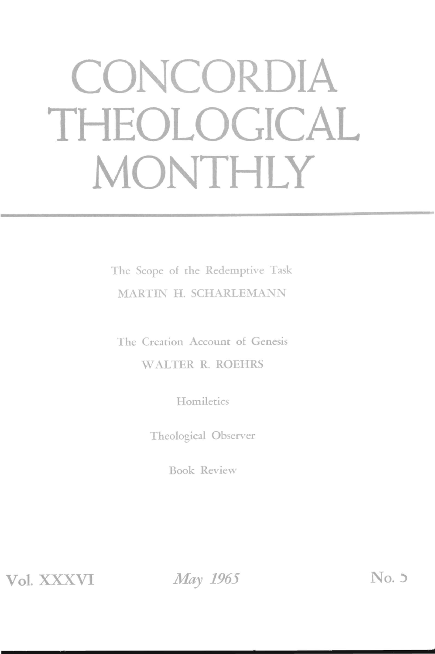# **CONCORDIA THEOLOGICAL MONTHLY**

The Scope of the Redemptive Task MARTIN H. SCHARLEMANN

The Creation Account of Genesis WALTER R. ROEHRS

**Homiletics** 

Theological Observer

Book Review

**Vol. XXXVI** 

*May 1965* No. 5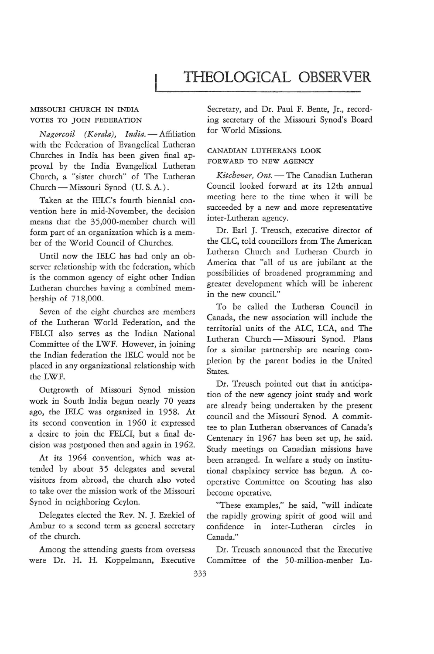# **THEOLOGICAL OBSERVER**

#### MISSOURI CHURCH IN INDIA VOTES TO JOIN FEDERATION

*Nagercoil* (Kerala), India. - Affiliation with the Federation of Evangelical Lutheran Churches in India has been given final approval by the India Evangelical Lutheran Church, a "sister church" of The Lutheran Church - Missouri Synod (U.S.A.).

Taken at the IELC's fourth biennial convention here in mid-November, the decision means that the 35,OOO-member church will form part of an organization which is a member of the World Council of Churches.

Until now the IELC has had only an observer relationship with the federation, which is the common agency of eight other Indian Lutheran churches having a combined membership of 718,000.

Seven of the eight churches are members of the Lutheran W orId Federation, and the FELCI also serves as the Indian National Committee of the LWF. However, in joining the Indian federation the IELC would not be placed in any organizational relationship with the LWF.

Outgrowth of Missouri Synod mission work in South India begun nearly 70 years ago, the IELC was organized in 1958. At its second convention in 1960 it expressed a desire to join the FELCI, but a final decision was postponed then and again in 1962.

At its 1964 convention, which was attended by about 35 delegates and several visitors from abroad, the church also voted to take over the mission work of the Missouri Synod in neighboring Ceylon.

Delegates elected the Rev. N. J. Ezekiel of Ambur to a second term as general secretary of the church.

Among the attending guests from overseas were Dr. H. H. Koppelmann, Executive

Secretary, and Dr. Paul F. Bente, Jr., recording secretary of the Missouri Synod's Board for World Missions.

## CANADIAN LUTHERANS LOOK FORWARD TO NEW AGENCY

*Kitchener, Ont.* - The Canadian Lutheran Council looked forward at its 12th annual meeting here to the time when it will be succeeded by a new and more representative inter-Lutheran agency.

Dr. Earl J. Treusch, executive director of the CLC, told councillors from The American Lutheran Church and Lutheran Church in America that "all of us are jubilant at the possibilities of broadened programming and greater development which will be inherent in the new counciL"

To be called the Lutheran Council in Canada, the new association will include the territorial units of the ALC, LCA, and The Lutheran Church-Missouri Synod. Plans for a similar partnership are nearing completion by the parent bodies in the United States.

Dr. Treusch pointed out that in anticipation of the new agency joint study and work are already being undertaken by the present council and the Missouri Synod. A committee to plan Lutheran observances of Canada's Centenary in 1967 has been set up, he said. Study meetings on Canadian missions have been arranged. In welfare a study on institutional chaplaincy service has begun. A cooperative Committee on Scouting has also become operative.

"These examples," he said, "will indicate the rapidly growing spirit of good will and confidence in inter-Lutheran circles in Canada."

Dr. Treusch announced that the Executive Committee of the 50-million-menber Lu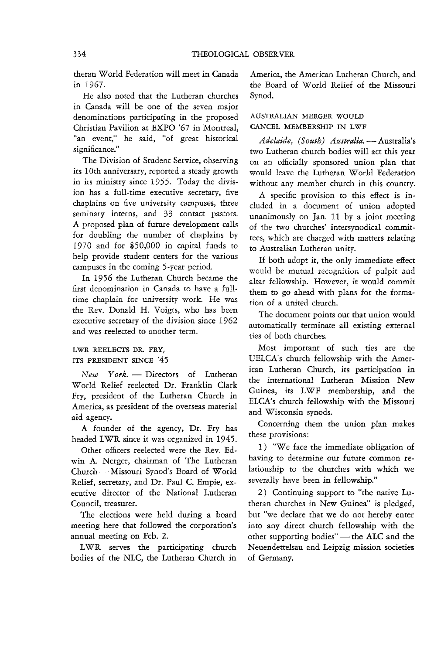theran World Federation will meet in Canada in 1967.

He also noted that the Lutheran churches in Canada will be one of the seven major denominations participating in the proposed Christian Pavilion at EXPO '67 in Montreal, "an event," he said, "of great historical significance."

The Division of Student Service, observing its 10th anniversary, reported a steady growth in its ministry since 1955. Today the division has a full-time executive secretary, five chaplains on five university campuses, three seminary interns, and 33 contact pastors. A proposed plan of future development calls for doubling the number of chaplains by 1970 and for \$50,000 in capital funds to help provide student centers for the various campuses in the coming 5-year period.

In 1956 the Lutheran Church became the first denomination in Canada to have a fulltime chaplain for university work. He was the Rev. Donald H. Voigts, who has been executive secretary of the division since 1962 and was reelected to another term.

#### LWR REELECTS DR. FRY, ITS PRESIDENT SINCE '45

 $New$  York. - Directors of Lutheran World Relief reelected Dr. Franklin Clark Fry, president of the Lutheran Church in America, as president of the overseas material aid agency.

A founder of the agency, Dr. Fry has headed LWR since it was organized in 1945.

Other officers reelected were the Rev. Edwin A. Nerger, chairman of The Lutheran Church-Missouri Synod's Board of World Relief, secretary, and Dr. Paul C. Empie, executive director of the National Lutheran Council, treasurer.

The elections were held during a board meeting here that followed the corporation's annual meeting on Feb. 2.

LWR serves the participating church bodies of the NLC, the Lutheran Church in America, the American Lutheran Church, and the Board of worid Relief of the Missouri Synod.

## AUSTRALIAN MERGER WOULD CANCEL MEMBERSHIP IN LWF

Adelaide, (South) Australia. - Australia's two Lutheran church bodies will act this year on an officially sponsored union plan that would leave the Lutheran World Federation without any member church in this country.

A specific provision to this effect is included in a document of union adopted unanimously on Jan. 11 by a joint meeting of the two churches' intersynodical committees, which are charged with matters relating to Australian Lutheran unity.

If both adopt it, the only immediate effect would be mutual recognition of pulpit and altar fellowship, However, it would commit them to go ahead with plans for the formation of a united church.

The document points out that union would automatically terminate all existing external ties of both churches.

Most important of such ties are the UELCA's church fellowship with the American Lutheran Church, its participation in the international Lutheran Mission New Guinea, its LWF membership, and the ELCA's church fellowship with the Missouri and Wisconsin synods.

Concerning them the union plan makes these provisions:

1 ) "We face the immediate obligation of having to determine our future common relationship to the churches with which we severally have been in fellowship."

2) Continuing support to "the native Lutheran churches in New Guinea" is pledged, but "we declare that we do not hereby enter into any direct church fellowship with the other supporting bodies" - the ALC and the Neuendettelsau and Leipzig mission societies of Germany.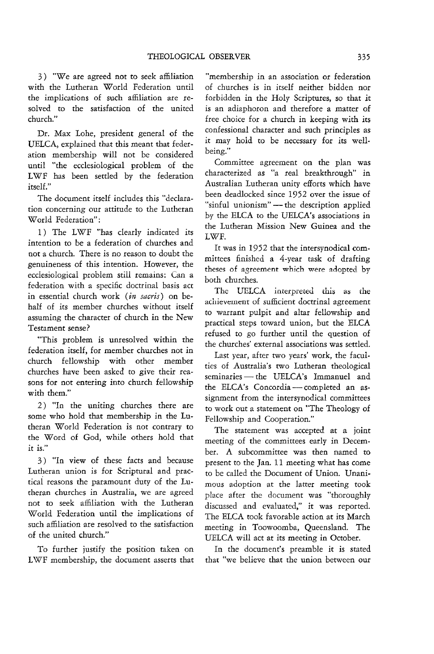3 ) "We are agreed not to seek affiliation with the Lutheran World Federation until the implications of such affiliation are resolved to the satisfaction of the united church."

Dr. Max Lohe, president general of the UELCA, explained that this meant that federation membership will not be considered until "the ecclesiological problem of the LWF has been settled by the federation itself."

The document itself includes this "declaration concerning our attitude to the Lutheran World Federation":

1) The LWF "has clearly indicated its intention to be a federation of churches and not a church. There is no reason to doubt the genuineness of this intention. However, the ecclesiological problem still remains: Can a federation with a specific doctrinal basis act in essential church work *(in sacris)* on behalf of its member churches without itself assuming the character of church in the New Testament sense?

"This problem is unresolved within the federation itself, for member churches not in church fellowship with other member churches have been asked to give their reasons for not entering into church fellowship with them."

2) "In the uniting churches there are some who hold that membership in the Lutheran World Federation is not contrary to the Word of God, while others hold that it is."

3) "In view of these facts and because Lutheran union is for Scriptural and practicai reasons the paramount duty of the Lutheran churches in Australia, we are agreed not to seek affiliation with the Lutheran World Federation until the implications of such affiliation are resolved to the satisfaction of the united church."

To further justify the position taken on LWF membership, the document asserts that

"membership in an association or federation of churches is in itself neither bidden nor forbidden in the Holy Scriptures, so that **it**  is an adiaphoron and therefore a matter of free choice for a church in keeping with its confessional character and such principles as it may hold to be necessary for its wellbeing."

Committee agreement on the plan was characterized as "a real breakthrough" in Australian Lutheran unity efforts which have been deadlocked since 1952 over the issue of "sinful unionism" - the description applied by the ELCA to the UELCA's associations in the Lutheran Mission New Guinea and the LWF.

It was in 1952 that the intersynodical committees finished a 4-year task of drafting theses of agreement which were adopted by both churches.

The UELCA interpreted this as the achievement of sufficient doctrinal agreement to warrant pulpit and altar fellowship and practical steps toward union, but the ELCA refused to go further until the question of the churches' external associations was settled.

Last year, after two years' work, the faculties of Australia's two Lutheran theological seminaries - the UELCA's Immanuel and the ELCA's Concordia-completed an assignment from the intersynodical committees to work out a statement on "The Theology of Fellowship and Cooperation."

The statement was accepted at a joint meeting of the committees early in December. A subcommittee was then named to present to the Jan. 11 meeting what has come to be called the Document of Union. Unanimous adoption at the latter meeting took place after the document was "thoroughly discussed and evaluated," it was reported. The ELCA took favorable action at its March meeting in Toowoomba, Queensland. The UELCA will act at its meeting in October.

In the document's preamble it *is* stated that "we believe that the union between our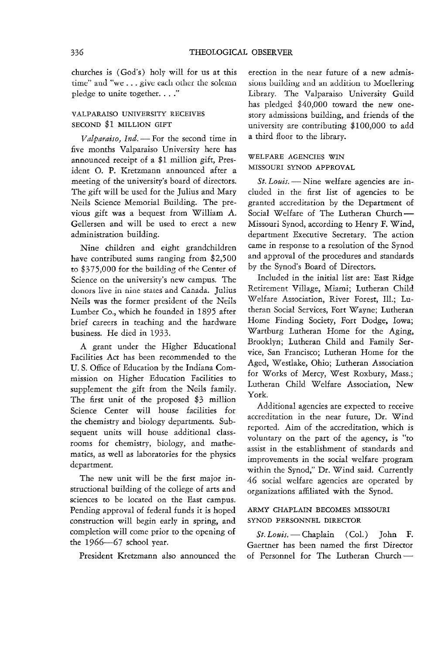churches is (God's) holy will for us at this time" and "we ... give each other the solemn pledge to unite together.  $\ldots$ ."

## VALPARAISO UNNERSITY RECENES SECOND \$1 MILLION GIFT

*Valparaiso, Ind.* - For the second time in five months Valparaiso University here has announced receipt of a \$1 million gift, President o. P. Kretzmann announced after a meeting of the university's board of directors. The gift will be used for the Julius and Mary Neils Science Memorial Building. The previous gift was a bequest from William A. Gellersen and will be used to erect a new administration building.

Nine children and eight grandchildren have contributed sums ranging from \$2,500 to \$375,000 for the building of the Center of Science on the university's new campus. The donors live in nine states and Canada. Julius Neils was the former president of the Neils Lumber Co., which he founded in 1895 after brief careers in teaching and the hardware business. He died in 1933.

A grant under the Higher Educational Facilities Act has been recommended to the U. S. Office of Education by the Indiana Commission on Higher Education Facilities to supplement the gift from the Neils family. The first unit of the proposed \$3 million Science Center will house facilities for the chemistry and biology departments. Subsequent units will house additional classrooms for chemistry, biology, and mathematics, as well as laboratories for the physics department.

The new unit will be the first major instructional building of the college of arts and sciences to be located on the East campus. Pending approval of federal funds it is hoped construction will begin early in spring, and completion will come prior to the opening of the 1966-67 school year.

President Kretzmann also announced the

erection in the near future of a new admissions building and an addition to Moellering Library. The Valparaiso University Guild has pledged \$40,000 toward the new onestory admissions building, and friends of the university are contributing \$100,000 to add a third floor to the library.

#### WELFARE AGENCIES WIN MISSOURI SYNOD APPROVAL

St. Louis. - Nine welfare agencies are included in the first list of agencies to be granted accreditation by the Department of Social Welfare of The Lutheran Church-Missouri Synod, according to Henry F. Wind, department Executive Secretary. The action came in response to a resolution of the Synod and approval of the procedures and standards by the Synod's Board of Directors.

Included in the initial list are: East Ridge Retirement Village, Miami; Lutheran Child \Vf eHare Association, River Forest, Ill.; Lutheran Social Services, Fort Wayne; Lutheran Home Finding Society, Fort Dodge, Iowa; Wartburg Lutheran Home for the Aging, Brooklyn; Lutheran Child and Family Service, San Francisco; Lutheran Home for the Aged, Westlake, Ohio; Lutheran Association for Works of Mercy, West Roxbury, Mass.; Lutheran Child Welfare Association, New York.

Additional agencies are expected to receive accreditation in the near future, Dr. Wind reported. Aim of the accreditation, which is voluntary on the part of the agency, is "to assist in the establishment of standards and improvements in the social welfare program within the Synod," Dr. Wind said. Currently 46 social welfare agencies are operated by organizations affiliated with the Synod.

## ARMY CHAPLAIN BECOMES MISSOURI SYNOD PERSONNEL DIRECTOR

*St. Louis.* - Chaplain (Col.) John F. Gaertner has been named the first Director of Personnel for The Lutheran Church